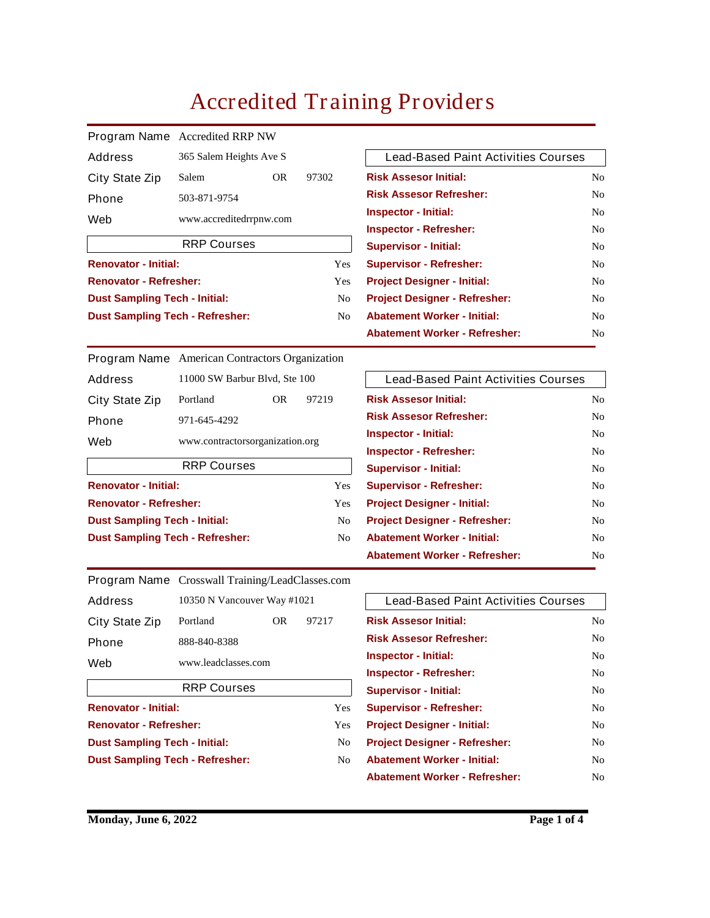## **Accredited Training Providers**

|                                        | <b>Program Name</b> Accredited RRP NW |  |                |  |  |
|----------------------------------------|---------------------------------------|--|----------------|--|--|
| Address                                | 365 Salem Heights Ave S               |  |                |  |  |
| <b>City State Zip</b>                  | 97302<br><b>Salem</b><br><b>OR</b>    |  |                |  |  |
| <b>Phone</b>                           | 503-871-9754                          |  |                |  |  |
| Web                                    | www.accreditedrrpnw.com               |  |                |  |  |
|                                        | <b>RRP Courses</b>                    |  |                |  |  |
| <b>Renovator - Initial:</b>            |                                       |  | <b>Yes</b>     |  |  |
| <b>Renovator - Refresher:</b>          | <b>Yes</b>                            |  |                |  |  |
| <b>Dust Sampling Tech - Initial:</b>   |                                       |  | N <sub>0</sub> |  |  |
| <b>Dust Sampling Tech - Refresher:</b> | N <sub>0</sub>                        |  |                |  |  |

| <b>Lead-Based Paint Activities Courses</b> |                |  |  |
|--------------------------------------------|----------------|--|--|
| <b>Risk Assesor Initial:</b>               | No             |  |  |
| <b>Risk Assesor Refresher:</b>             | No             |  |  |
| <b>Inspector - Initial:</b>                | N <sub>0</sub> |  |  |
| <b>Inspector - Refresher:</b>              | No             |  |  |
| <b>Supervisor - Initial:</b>               | No             |  |  |
| <b>Supervisor - Refresher:</b>             | No             |  |  |
| <b>Project Designer - Initial:</b>         | No             |  |  |
| <b>Project Designer - Refresher:</b>       | No             |  |  |
| <b>Abatement Worker - Initial:</b>         | No             |  |  |
| <b>Abatement Worker - Refresher:</b>       | No             |  |  |

**American Contractors Organization Program Name 11000 SW Barbur Blvd, Ste 100 Portland OR 97219 971-645-4292 Address City State Zip Phone**

**www.contractorsorganization.org Web**

| <b>RRP Courses</b>                     |     |  |  |  |
|----------------------------------------|-----|--|--|--|
| <b>Renovator - Initial:</b>            | Yes |  |  |  |
| <b>Renovator - Refresher:</b>          | Yes |  |  |  |
| <b>Dust Sampling Tech - Initial:</b>   | No. |  |  |  |
| <b>Dust Sampling Tech - Refresher:</b> | No  |  |  |  |

| <b>Lead-Based Paint Activities Courses</b> |                |
|--------------------------------------------|----------------|
| <b>Risk Assesor Initial:</b>               | N <sub>0</sub> |
| <b>Risk Assesor Refresher:</b>             | No             |
| <b>Inspector - Initial:</b>                | No             |
| <b>Inspector - Refresher:</b>              | No             |
| <b>Supervisor - Initial:</b>               | N <sub>0</sub> |
| <b>Supervisor - Refresher:</b>             | No             |
| <b>Project Designer - Initial:</b>         | N <sub>0</sub> |
| <b>Project Designer - Refresher:</b>       | N <sub>0</sub> |
| <b>Abatement Worker - Initial:</b>         | No             |
| <b>Abatement Worker - Refresher:</b>       | No             |

|  | Program Name Crosswall Training/LeadClasses.com |
|--|-------------------------------------------------|
|--|-------------------------------------------------|

| <b>Address</b>        | 10350 N Vancouver Way #1021 |  |  |  |  |
|-----------------------|-----------------------------|--|--|--|--|
| <b>City State Zip</b> | 97217<br>Portland<br>OR.    |  |  |  |  |
| <b>Phone</b>          | 888-840-8388                |  |  |  |  |
| Web                   | www.leadclasses.com         |  |  |  |  |
|                       | <b>RRP Courses</b>          |  |  |  |  |

| Yes |
|-----|
| Yes |
| No  |
| No  |
|     |

| <b>Lead-Based Paint Activities Courses</b> |                |
|--------------------------------------------|----------------|
| <b>Risk Assesor Initial:</b>               | N <sub>0</sub> |
| <b>Risk Assesor Refresher:</b>             | N <sub>0</sub> |
| <b>Inspector - Initial:</b>                | No             |
| <b>Inspector - Refresher:</b>              | No             |
| <b>Supervisor - Initial:</b>               | No             |
| <b>Supervisor - Refresher:</b>             | No             |
| <b>Project Designer - Initial:</b>         | No             |
| <b>Project Designer - Refresher:</b>       | N <sub>0</sub> |
| <b>Abatement Worker - Initial:</b>         | No             |
| <b>Abatement Worker - Refresher:</b>       | N٥             |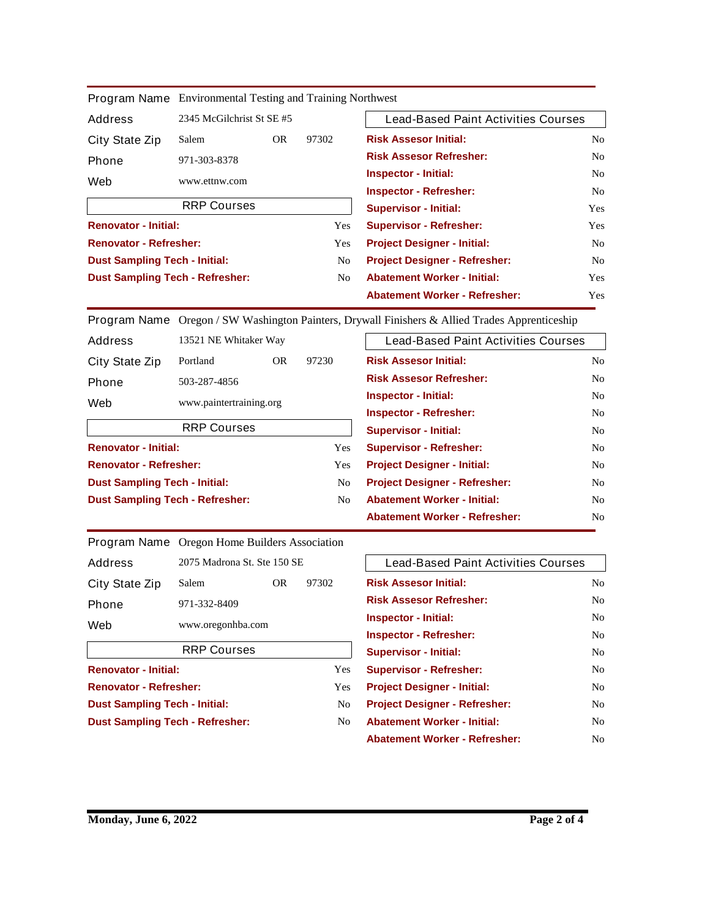|                                        | Program Name Environmental results and Framing Northwest |           |            |                                            |                |
|----------------------------------------|----------------------------------------------------------|-----------|------------|--------------------------------------------|----------------|
| <b>Address</b>                         | 2345 McGilchrist St SE #5                                |           |            | <b>Lead-Based Paint Activities Courses</b> |                |
| <b>City State Zip</b>                  | Salem                                                    | <b>OR</b> | 97302      | <b>Risk Assesor Initial:</b>               | No             |
| <b>Phone</b>                           | 971-303-8378                                             |           |            | <b>Risk Assesor Refresher:</b>             | N <sub>0</sub> |
| Web                                    | www.ettnw.com                                            |           |            | <b>Inspector - Initial:</b>                | N <sub>0</sub> |
|                                        |                                                          |           |            | <b>Inspector - Refresher:</b>              | N <sub>0</sub> |
|                                        | <b>RRP Courses</b>                                       |           |            | <b>Supervisor - Initial:</b>               | Yes            |
| <b>Renovator - Initial:</b>            |                                                          |           | <b>Yes</b> | <b>Supervisor - Refresher:</b>             | Yes            |
| <b>Renovator - Refresher:</b>          |                                                          |           | <b>Yes</b> | <b>Project Designer - Initial:</b>         | N <sub>0</sub> |
| <b>Dust Sampling Tech - Initial:</b>   |                                                          |           | No.        | <b>Project Designer - Refresher:</b>       | N <sub>0</sub> |
| <b>Dust Sampling Tech - Refresher:</b> |                                                          |           | No.        | <b>Abatement Worker - Initial:</b>         | Yes            |
|                                        |                                                          |           |            | <b>Abatement Worker - Refresher:</b>       | Yes            |

**Program Name** Environmental Testing and Training Northwest

**Oregon / SW Washington Painters, Drywall Finishers & Allied Trades Apprenticeship Program Name**

| <b>Address</b>                         | 13521 NE Whitaker Way |                         |                                    | <b>Lead-Based Paint Activities Courses</b> |                |
|----------------------------------------|-----------------------|-------------------------|------------------------------------|--------------------------------------------|----------------|
| <b>City State Zip</b>                  | Portland              | <b>OR</b>               | 97230                              | <b>Risk Assesor Initial:</b>               | No             |
| <b>Phone</b>                           | 503-287-4856          |                         |                                    | <b>Risk Assesor Refresher:</b>             | No             |
| Web                                    |                       | www.paintertraining.org |                                    | <b>Inspector - Initial:</b>                | No             |
|                                        |                       |                         |                                    | <b>Inspector - Refresher:</b>              | No             |
| <b>RRP Courses</b>                     |                       |                         | <b>Supervisor - Initial:</b>       | No                                         |                |
| <b>Renovator - Initial:</b>            |                       |                         | <b>Yes</b>                         | <b>Supervisor - Refresher:</b>             | No             |
| <b>Renovator - Refresher:</b>          |                       |                         | <b>Yes</b>                         | <b>Project Designer - Initial:</b>         | No             |
| <b>Dust Sampling Tech - Initial:</b>   |                       |                         | N <sub>0</sub>                     | <b>Project Designer - Refresher:</b>       | N <sub>0</sub> |
| <b>Dust Sampling Tech - Refresher:</b> |                       | No.                     | <b>Abatement Worker - Initial:</b> | No                                         |                |
|                                        |                       |                         |                                    | <b>Abatement Worker - Refresher:</b>       | N <sub>0</sub> |

**Oregon Home Builders Association Program Name**

|                       | <b>RRP Courses</b>          |  |  |  |  |
|-----------------------|-----------------------------|--|--|--|--|
| Web                   | www.oregonhba.com           |  |  |  |  |
| <b>Phone</b>          | 971-332-8409                |  |  |  |  |
| <b>City State Zip</b> | 97302<br>Salem<br>OR.       |  |  |  |  |
| <b>Address</b>        | 2075 Madrona St. Ste 150 SE |  |  |  |  |

| <b>Renovator - Initial:</b>            | Yes |
|----------------------------------------|-----|
| <b>Renovator - Refresher:</b>          | Yes |
| <b>Dust Sampling Tech - Initial:</b>   | No  |
| <b>Dust Sampling Tech - Refresher:</b> | No  |
|                                        |     |

| <b>Lead-Based Paint Activities Courses</b> |     |
|--------------------------------------------|-----|
| <b>Risk Assesor Initial:</b>               | No. |
| <b>Risk Assesor Refresher:</b>             | No. |
| <b>Inspector - Initial:</b>                | No  |
| <b>Inspector - Refresher:</b>              | No. |
| <b>Supervisor - Initial:</b>               | No. |
| <b>Supervisor - Refresher:</b>             | No  |
| <b>Project Designer - Initial:</b>         | No  |
| <b>Project Designer - Refresher:</b>       | No. |
| <b>Abatement Worker - Initial:</b>         | No  |
| <b>Abatement Worker - Refresher:</b>       | No  |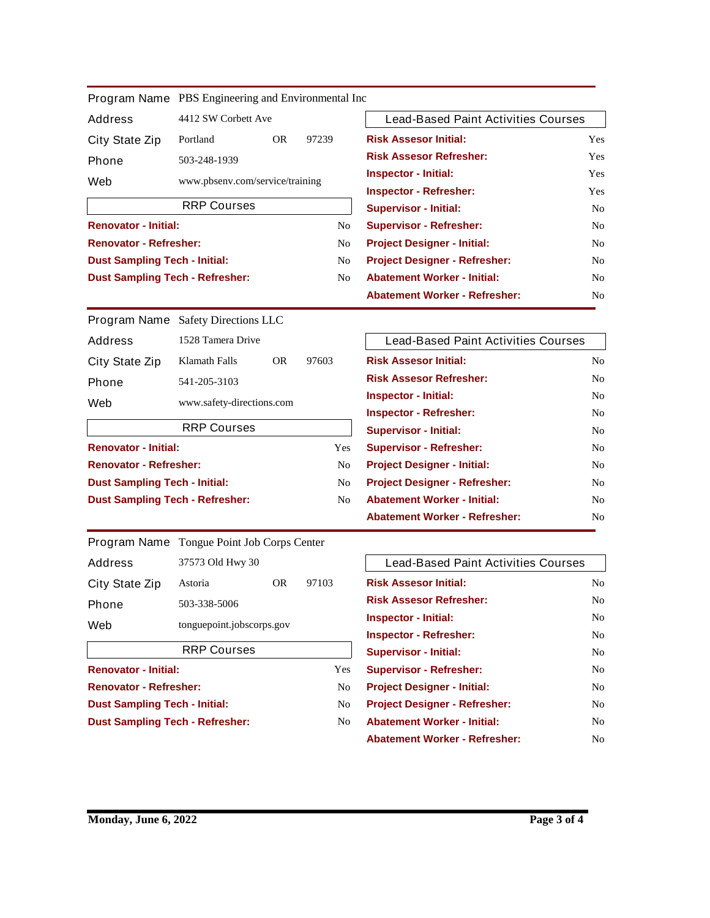|                                        | <b>Program Name</b> PBS Engineering and Environmental Inc |           |                |
|----------------------------------------|-----------------------------------------------------------|-----------|----------------|
| <b>Address</b>                         | 4412 SW Corbett Ave                                       |           |                |
| <b>City State Zip</b>                  | Portland                                                  | <b>OR</b> | 97239          |
| <b>Phone</b>                           | 503-248-1939                                              |           |                |
| Web                                    | www.pbsenv.com/service/training                           |           |                |
|                                        | <b>RRP Courses</b>                                        |           |                |
| <b>Renovator - Initial:</b>            |                                                           |           | N <sub>0</sub> |
| <b>Renovator - Refresher:</b>          |                                                           |           | N <sub>0</sub> |
| <b>Dust Sampling Tech - Initial:</b>   |                                                           |           | N <sub>0</sub> |
| <b>Dust Sampling Tech - Refresher:</b> |                                                           |           | N <sub>0</sub> |

| <b>Lead-Based Paint Activities Courses</b> |            |
|--------------------------------------------|------------|
| <b>Risk Assesor Initial:</b>               | <b>Yes</b> |
| <b>Risk Assesor Refresher:</b>             | <b>Yes</b> |
| <b>Inspector - Initial:</b>                | <b>Yes</b> |
| <b>Inspector - Refresher:</b>              | <b>Yes</b> |
| <b>Supervisor - Initial:</b>               | No.        |
| <b>Supervisor - Refresher:</b>             | No         |
| <b>Project Designer - Initial:</b>         | No.        |
| <b>Project Designer - Refresher:</b>       | No         |
| <b>Abatement Worker - Initial:</b>         | No.        |
| <b>Abatement Worker - Refresher:</b>       | No         |

**Program Name** Safety Directions LLC **1528 Tamera Drive Klamath Falls OR 97603 541-205-3103 www.safety-directions.com Address City State Zip Phone Web Renovator - Initial: Yes RRP Courses**

| <b>Renovator - Refresher:</b>          | No |
|----------------------------------------|----|
| <b>Dust Sampling Tech - Initial:</b>   | No |
| <b>Dust Sampling Tech - Refresher:</b> | No |

|                       | <b>Program Name</b> Tongue Point Job Corps Center |           |       |
|-----------------------|---------------------------------------------------|-----------|-------|
| <b>Address</b>        | 37573 Old Hwy 30                                  |           |       |
| <b>City State Zip</b> | Astoria                                           | <b>OR</b> | 97103 |
| <b>Phone</b>          | 503-338-5006                                      |           |       |
| Web                   | tonguepoint.jobscorps.gov                         |           |       |
| <b>RRP Courses</b>    |                                                   |           |       |
|                       |                                                   |           |       |

| <b>Renovator - Initial:</b>            | Yes |
|----------------------------------------|-----|
| <b>Renovator - Refresher:</b>          | No  |
| <b>Dust Sampling Tech - Initial:</b>   | No  |
| <b>Dust Sampling Tech - Refresher:</b> | No  |
|                                        |     |

| <b>Lead-Based Paint Activities Courses</b> |                |
|--------------------------------------------|----------------|
| <b>Risk Assesor Initial:</b>               | No             |
| <b>Risk Assesor Refresher:</b>             | No             |
| <b>Inspector - Initial:</b>                | No             |
| <b>Inspector - Refresher:</b>              | No             |
| <b>Supervisor - Initial:</b>               | N <sub>0</sub> |
| <b>Supervisor - Refresher:</b>             | No             |
| <b>Project Designer - Initial:</b>         | No             |
| <b>Project Designer - Refresher:</b>       | No             |
| <b>Abatement Worker - Initial:</b>         | No             |
| <b>Abatement Worker - Refresher:</b>       | No             |
|                                            |                |

| <b>Lead-Based Paint Activities Courses</b> |                |
|--------------------------------------------|----------------|
| <b>Risk Assesor Initial:</b>               | No             |
| <b>Risk Assesor Refresher:</b>             | No             |
| <b>Inspector - Initial:</b>                | No             |
| <b>Inspector - Refresher:</b>              | No             |
| <b>Supervisor - Initial:</b>               | No             |
| <b>Supervisor - Refresher:</b>             | N <sub>0</sub> |
| <b>Project Designer - Initial:</b>         | N <sub>0</sub> |
| <b>Project Designer - Refresher:</b>       | No             |
| <b>Abatement Worker - Initial:</b>         | No             |
| <b>Abatement Worker - Refresher:</b>       | No             |